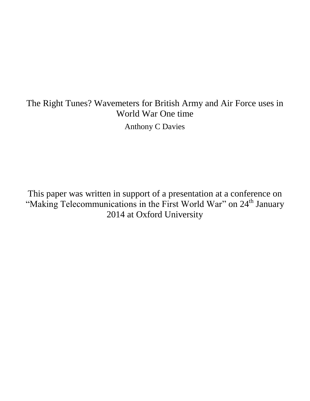# The Right Tunes? Wavemeters for British Army and Air Force uses in World War One time

Anthony C Davies

This paper was written in support of a presentation at a conference on "Making Telecommunications in the First World War" on 24<sup>th</sup> January 2014 at Oxford University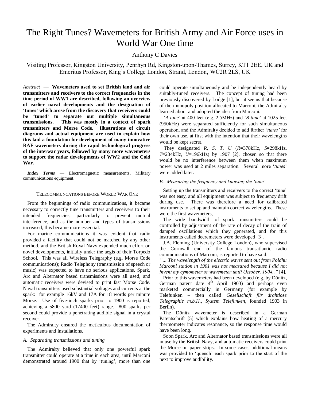# The Right Tunes? Wavemeters for British Army and Air Force uses in World War One time

# Anthony C Davies

Visiting Professor, Kingston University, Penrhyn Rd, Kingston-upon-Thames, Surrey, KT1 2EE, UK and Emeritus Professor, King's College London, Strand, London, WC2R 2LS, UK

*Abstract* — **Wavemeters used to set British land and air transmitters and receivers to the correct frequencies in the time period of WW1 are described, following an overview of earlier naval developments and the designation of 'tunes' which arose from the discovery that receivers could be 'tuned' to separate out multiple simultaneous transmissions. This was mostly in a context of spark transmitters and Morse Code. Illustrations of circuit diagrams and actual equipment are used to explain how this laid a foundation for development of many innovative RAF wavemeters during the rapid technological progress of the interwar years, followed by many more wavemeters to support the radar developments of WW2 and the Cold War.**

*Index Terms* — Electromagnetic measurements, Military communications equipment.

#### TELECOMMUNCATIONS BEFORE WORLD WAR ONE

From the beginnings of radio communications, it became necessary to correctly tune transmitters and receivers to their intended frequencies, particularly to prevent mutual interference, and as the number and types of transmissions increased, this became more essential.

For marine communications it was evident that radio provided a facility that could not be matched by any other method, and the British Royal Navy expended much effort on novel developments, initially under the aegis of their Torpedo School. This was all Wireless Telegraphy (e.g. Morse Code communications); Radio Telephony (transmission of speech or music) was expected to have no serious applications. Spark, Arc and Alternator based transmissions were all used, and automatic receivers were devised to print fast Morse Code. Naval transmitters used substantial voltages and currents at the spark: for example 16kV and 17A for 18 words per minute Morse. Use of five-inch sparks prior to 1900 is reported, achieving a 5800 yard (17400 feet) range. 800 sparks per second could provide a penetrating audible signal in a crystal receiver.

The Admiralty ensured the meticulous documentation of experiments and installations.

#### *A. Separating transmissions and tuning*

The Admiralty believed that only one powerful spark transmitter could operate at a time in each area, until Marconi demonstrated around 1900 that by 'tuning', more than one could operate simultaneously and be independently heard by suitably-tuned receivers. The concept of tuning had been previously discovered by Lodge [1], but it seems that because of the monopoly position allocated to Marconi, the Admiralty learned about and adopted the idea from Marconi.

'*A tune*' at 400 feet (e.g. 2.5MHz) and '*B tune*' at 1025 feet (950kHz) were separated sufficiently for such simultaneous operation, and the Admiralty decided to add further '*tunes'* for their own use, at first with the intention that their wavelengths would be kept secret.

They designated *R*, *S*, *T*, *U* (*R*=378kHz, *S*=298kHz, *T*=234kHz, *U*=196kHz) by 1907 [2], chosen so that there would be no interference between them when maximum power was used at 2 miles separation. Several more '*tunes*' were added later.

#### *B. Measuring the frequency and knowing the 'tune'*

Setting up the transmitters and receivers to the correct 'tune' was not easy, and all equipment was subject to frequency drift during use. There was therefore a need for calibrated instruments to set up and maintain correct wavelengths. These were the first wavemeters,

The wide bandwidth of spark transmitters could be controlled by adjustment of the rate of decay of the train of damped oscillations which they generated, and for this instruments called decremeters were developed [3].

J.A. Fleming (University College London), who supervised the Cornwall end of the famous transatlantic radio communications of Marconi, is reported to have said:

*"… The wavelength of the electric waves sent out from Poldhu Marconi station in 1901 was not measured because I did not invent my cymometer or wavemeter until October, 1904.."* [4]*.* 

Prior to this wavemeters had been developed (e.g. by Dönitz, German patent date  $4<sup>th</sup>$  April 1903) and perhaps even marketed commercially in Germany (for example by Telefunken – then called *Gesellschaft für drahtlose Telegraphie [m.b.H.,](http://en.wikipedia.org/wiki/Gesellschaft_mit_beschr%C3%A4nkter_Haftung) System Telefunken*, founded 1903 in Berlin).

The Dönitz wavemeter is described in a German Patentschrift [5] which explains how heating of a mercury thermometer indicates resonance, so the response time would have been long.

Soon Spark, Arc and Alternator based transmissions were all in use by the British Navy, and automatic receivers could print the Morse on paper strips. In some cases, additional means was provided to 'quench' each spark prior to the start of the next to improve audibility.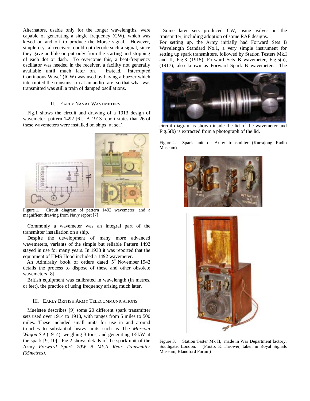Alternators, usable only for the longer wavelengths, were capable of generating a single frequency (CW), which was keyed on and off to produce the Morse signal. However, simple crystal receivers could not decode such a signal, since they gave audible output only from the starting and stopping of each dot or dash. To overcome this, a beat-frequency oscillator was needed in the receiver, a facility not generally available until much later on. Instead, 'Interrupted Continuous Wave' (ICW) was used by having a buzzer which interrupted the transmission at an audio rate, so that what was transmitted was still a train of damped oscillations.

# II. EARLY NAVAL WAVEMETERS

Fig.1 shows the circuit and drawing of a 1913 design of wavemeter, pattern 1492 [6]. A 1913 report states that 26 of these wavemeters were installed on ships 'at sea'.



Figure 1. Circuit diagram of pattern 1492 wavemeter, and a magnifient drawing from Navy report [7]

Commonly a wavemeter was an integral part of the transmitter installation on a ship.

Despite the development of many more advanced wavemeters, variants of the simple but reliable Pattern 1492 stayed in use for many years. In 1938 it was reported that the equipment of HMS Hood included a 1492 wavemeter.

An Admiralty book of orders dated  $5<sup>th</sup>$  November 1942 details the process to dispose of these and other obsolete wavemeters [8].

British equipment was calibrated in wavelength (in metres, or feet), the practice of using frequency arising much later.

## III. EARLY BRITISH ARMY TELECOMMUNICATIONS

Muelstee describes [9] some 20 different spark transmitter sets used over 1914 to 1918, with ranges from 5 miles to 500 miles. These included small units for use in and around trenches to substantial heavy units such as The *Marconi Wagon Set* (1914), weighing 3 tons, and generating 1.5kW at the spark [9, 10]. Fig.2 shows details of the spark unit of the Army *Forward Spark 20W B Mk.II Rear Transmitter (65metres)*.

Some later sets produced CW, using valves in the transmitter, including adoption of some RAF designs.

For setting up, the Army initially had Forward Sets B Wavelength Standard No.1, a very simple instrument for setting up spark transmitters, followed by Station Testers Mk.I and II, Fig.3 (1915), Forward Sets B wavemeter, Fig.5(a), (1917), also known as Forward Spark B wavemeter. The



circuit diagram is shown inside the lid of the wavemeter and Fig.5(b) is extracted from a photograph of the lid.

Figure 2. Spark unit of Army transmitter (Kurrajong Radio Museum)





Figure 3. Station Tester Mk II, made in War Department factory, Southgate, London. (Photo: K. Thrower, taken in Royal Signals Museum, Blandford Forum)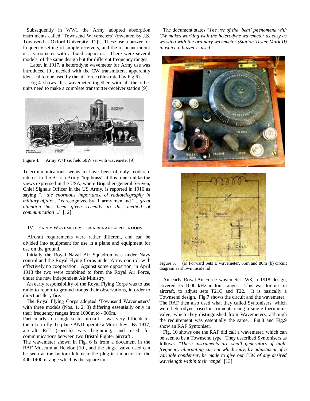Subsequently in WW1 the Army adopted absorption instruments called 'Townsend Wavemeters' (invented by J.S. Townsend at Oxford University [11]). These use a buzzer for frequency setting of simple receivers, and the resonant circuit is a variometer with a fixed capacitor. There were several models, of the same design but for different frequency ranges.

Later, in 1917, a heterodyne wavemeter for Army use was introduced [9], needed with the CW transmitters, apparently identical to one used by the air force (illustrated by Fig.6).

Fig.4 shows this wavemeter together with all the other units need to make a complete transmitter-receiver station [9].



Figure 4. Army W/T set field 60W set with wavemeter [9]

Telecommunications seems to have been of only moderate interest to the British Army "top brass" at this time, unlike the views expressed in the USA, where Brigadier-general Seriven, Chief Signals Officer in the US Army, is reported in 1916 as saying ".. *the enormous importance of radiotelegraphy in military affairs* .." is recognized by all army men and " .. *great attention has been given recently to this method of communication* .." [12].

#### IV. EARLY WAVEMETERS FOR AIRCRAFT APPLICATIONS

Aircraft requirements were rather different, and can be divided into equipment for use in a plane and equipment for use on the ground.

Initially the Royal Naval Air Squadron was under Navy control and the Royal Flying Corps under Army control, with effectively no cooperation. Against some opposition, in April 1918 the two were combined to form the Royal Air Force, under the new independent Air Ministry.

An early responsibility of the Royal Flying Corps was to use radio to report to ground troops their observations, in order to direct artillery fire.

The Royal Flying Corps adopted 'Townsend Wavemeters' with three models (Nos. 1, 2, 3) differing essentially only in their frequency ranges from 1000m to 4000m.

Particularly in a single-seater aircraft, it was very difficult for the pilot to fly the plane AND operate a Morse key! By 1917, aircraft R/T (speech) was beginning, and used for communications between two Bristol Fighter aircraft .

The wavemeter shown in Fig. 6 is from a document in the RAF Museum at Hendon [10], and the single valve used can be seen at the bottom left near the plug-in inductor for the 400-1400m range which is the square unit.

The document states "*The use of the 'beat' phenomena with CW makes working with the heterodyne wavemeter as easy as working with the ordinary wavemeter (Station Tester Mark II) in which a buzzer is used*".





Figure 5. (a) Forward Sets B wavemeter, 65m and 80m (b) circuit diagram as shown inside lid

An early Royal Air Force wavemeter, W3, a 1918 design, covered 75–1000 kHz in four ranges. This was for use in aircraft, to adjust sets T21C and T22. It is basically a Townsend design. Fig.7 shows the circuit and the wavemeter. The RAF then also used what they called Syntonisers, which were heterodyne based instruments using a single thermionic valve, which they distinguished from Wavemeters, although the requirement was essentially the same. Fig.8 and Fig.9 show an RAF Syntoniser.

Fig. 10 shows one the RAF did call a wavemeter, which can be seen to be a Townsend type. They described Syntonisers as follows: "*These instruments are small generators of highfrequency alternating current which may, by adjustment of a variable condenser, be made to give out C.W. of any desired wavelength within their range*" [13].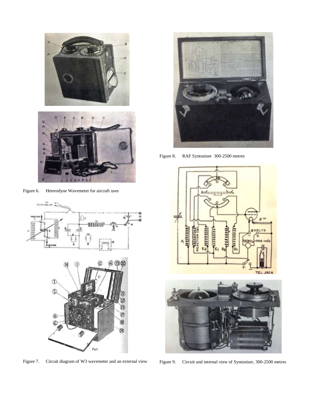

**QH** R.



й



Figure 7. Circuit diagram of W3 wavemeter and an external view



Figure 8. RAF Syntoniser 300-2500 metres





Figure 9. Circuit and internal view of Syntoniser, 300-2500 metres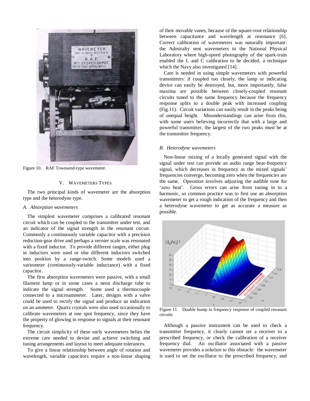

Figure 10. RAF Townsend-type wavemeter.

#### V. WAVEMETERS TYPES

The two principal kinds of wavemeter are the absorption type and the heterodyne type.

#### *A. Absorption wavemeters*

The simplest wavemeter comprises a calibrated resonant circuit which can be coupled to the transmitter under test, and an indicator of the signal strength in the resonant circuit. Commonly a continuously variable capacitor with a precision reduction-gear drive and perhaps a vernier scale was resonated with a fixed inductor. To provide different ranges, either plug in inductors were used or else different inductors switched into position by a range-switch. Some models used a variometer (continuously-variable inductance) with a fixed capacitor.

The first absorption wavemeters were passive, with a small filament lamp or in some cases a neon discharge tube to indicate the signal strength. Some used a thermocouple connected to a microammeter. Later, designs with a valve could be used to rectify the signal and produce an indication on an ammeter. Quartz crystals were also used occasionally to calibrate wavemeters at one spot frequency, since they have the property of glowing in response to signals at their resonant frequency.

The circuit simplicity of these early wavemeters belies the extreme care needed to devise and achieve switching and tuning arrangements and layout to meet adequate tolerances.

To give a linear relationship between angle of rotation and wavelength, variable capacitors require a non-linear shaping of their movable vanes, because of the square-root relationship between capacitance and wavelength at resonance [6]. Correct calibration of wavemeters was naturally important: the Admiralty sent wavemeters to the National Physical Laboratory where high-speed photography of the spark-train enabled the L and C calibration to be decided, a technique which the Navy also investigated [14].

Care is needed in using simple wavemeters with powerful transmitters: if coupled too closely, the lamp or indicating device can easily be destroyed, but, more importantly, false maxima are possible between closely-coupled resonant circuits tuned to the same frequency because the frequency response splits to a double peak with increased coupling (Fig.11). Circuit variations can easily result in the peaks being of unequal height. Misunderstandings can arise from this, with some users believing incorrectly that with a large and powerful transmitter, the largest of the two peaks must be at the transmitter frequency.

#### *B. Heterodyne wavemeters*

Non-linear mixing of a locally generated signal with the signal under test can provide an audio range beat-frequency signal, which decreases in frequency as the mixed signals' frequencies converge, becoming zero when the frequencies are the same. Operation involves adjusting the audible tone for 'zero beat'. Gross errors can arise from tuning in to a harmonic, so common practice was to first use an absorption wavemeter to get a rough indication of the frequency and then a heterodyne wavemeter to get as accurate a measure as possible.



Figure 11. Double hump in frequency response of coupled resonant circuits

Although a passive instrument can be used to check a transmitter frequency, it clearly cannot set a receiver to a prescribed frequency, or check the calibration of a receiver frequency dial. An oscillator associated with a passive wavemeter provides a solution to this obstacle: the wavemeter is used to set the oscillator to the prescribed frequency, and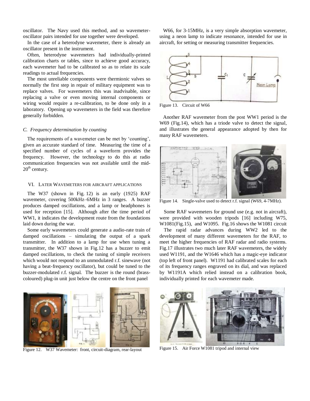oscillator. The Navy used this method, and so wavemeteroscillator pairs intended for use together were developed.

In the case of a heterodyne wavemeter, there is already an oscillator present in the instrument.

Often, heterodyne wavemeters had individually-printed calibration charts or tables, since to achieve good accuracy, each wavemeter had to be calibrated so as to relate its scale readings to actual frequencies.

The most unreliable components were thermionic valves so normally the first step in repair of military equipment was to replace valves. For wavemeters this was inadvisable, since replacing a valve or even moving internal components or wiring would require a re-calibration, to be done only in a laboratory. Opening up wavemeters in the field was therefore generally forbidden.

## *C. Frequency determination by counting*

The requirements of a wavemeter can be met by 'counting', given an accurate standard of time. Measuring the time of a specified number of cycles of a waveform provides the frequency. However, the technology to do this at radio communication frequencies was not available until the mid- $20<sup>th</sup>$  century.

#### VI. LATER WAVEMETERS FOR AIRCRAFT APPLICATIONS

The W37 (shown in Fig. 12) is an early (1925) RAF wavemeter, covering 500kHz–6MHz in 3 ranges. A buzzer produces damped oscillations, and a lamp or headphones is used for reception [15]. Although after the time period of WW1, it indicates the development route from the foundations laid down during the war.

Some early wavemeters could generate a audio-rate train of damped oscillations – simulating the output of a spark transmitter. In addition to a lamp for use when tuning a transmitter, the W37 shown in Fig.12 has a buzzer to emit damped oscillations, to check the tuning of simple receivers which would not respond to an unmodulated r.f. sinewave (not having a beat-frequency oscillator), but could be tuned to the buzzer-modulated r.f. signal. The buzzer is the round (brasscoloured) plug-in unit just below the centre on the front panel

W66, for 3-15MHz, is a very simple absorption wavemeter, using a neon lamp to indicate resonance, intended for use in aircraft, for setting or measuring transmitter frequencies.



Figure 13. Circuit of W66

Another RAF wavemeter from the post WW1 period is the W69 (Fig.14), which has a triode valve to detect the signal, and illustrates the general appearance adopted by then for many RAF wavemeters.



Some RAF wavemeters for ground use (e.g. not in aircraft), were provided with wooden tripods [16] including W75, W1081(Fig.15), and W1095. Fig.16 shows the W1081 circuit

The rapid radar advances during WW2 led to the development of many different wavemeters for the RAF, to meet the higher frequencies of RAF radar and radio systems. Fig.17 illustrates two much later RAF wavemeters, the widely used W1191, and the W1646 which has a magic-eye indicator (top left of front panel). W1191 had calibrated scales for each of its frequency ranges engraved on its dial, and was replaced by W1191A which relied instead on a calibration book, individually printed for each wavemeter made.



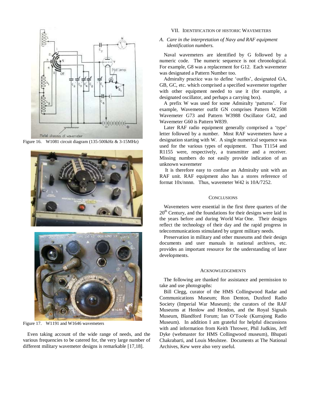





Figure 17. W1191 and W1646 wavemeters

Even taking account of the wide range of needs, and the various frequencies to be catered for, the very large number of different military wavemeter designs is remarkable [17,18].

#### VII. IDENTIFICATION OF HISTORIC WAVEMETERS

#### *A. Care in the interpretation of Navy and RAF equipment identification numbers.*

Naval wavemeters are identified by G followed by a numeric code. The numeric sequence is not chronological. For example, G8 was a replacement for G12. Each wavemeter was designated a Pattern Number too.

Admiralty practice was to define 'outfits', designated GA, GB, GC, etc. which comprised a specified wavemeter together with other equipment needed to use it (for example, a designated oscillator, and perhaps a carrying box).

A prefix W was used for some Admiralty 'patterns'. For example, Wavemeter outfit GN comprises Pattern W2508 Wavemeter G73 and Pattern W3988 Oscillator G42, and Wavemeter G60 is Pattern W839.

Later RAF radio equipment generally comprised a 'type' letter followed by a number. Most RAF wavemeters have a designation starting with W. A single numerical sequence was used for the various types of equipment. Thus T1154 and R1155 were, respectively, a transmitter and a receiver. Missing numbers do not easily provide indication of an unknown wavemeter

It is therefore easy to confuse an Admiralty unit with an RAF unit. RAF equipment also has a stores reference of format 10x/nnnn. Thus, wavemeter W42 is 10A/7252.

#### **CONCLUSIONS**

Wavemeters were essential in the first three quarters of the  $20<sup>th</sup>$  Century, and the foundations for their designs were laid in the years before and during World War One. Their designs reflect the technology of their day and the rapid progress in telecommunications stimulated by urgent military needs.

Preservation in military and other museums and their design documents and user manuals in national archives, etc. provides an important resource for the understanding of later developments.

#### ACKNOWLEDGEMENTS

The following are thanked for assistance and permission to take and use photographs:

Bill Clegg, curator of the HMS Collingwood Radar and Communications Museum; Ron Denton, Duxford Radio Society (Imperial War Museum); the curators of the RAF Museums at Henlow and Hendon, and the Royal Signals Museum, Blandford Forum; Ian O'Toole (Kurrajong Radio Museum). In addition I am grateful for helpful discussions with and information from Keith Thrower, Phil Judkins, Jeff Dyke (webmaster for HMS Collingwood museum), Bhupati Chakrabarti, and Louis Meulstee. Documents at The National Archives, Kew were also very useful.